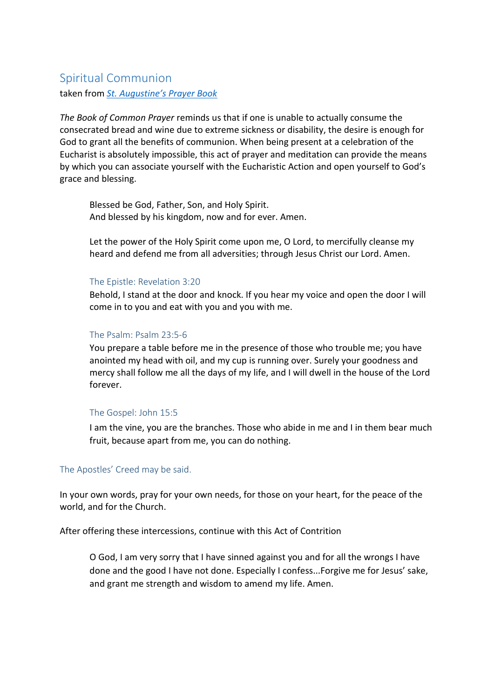# Spiritual Communion

taken from *St. Augustine's Prayer Book*

*The Book of Common Prayer* reminds us that if one is unable to actually consume the consecrated bread and wine due to extreme sickness or disability, the desire is enough for God to grant all the benefits of communion. When being present at a celebration of the Eucharist is absolutely impossible, this act of prayer and meditation can provide the means by which you can associate yourself with the Eucharistic Action and open yourself to God's grace and blessing.

Blessed be God, Father, Son, and Holy Spirit. And blessed by his kingdom, now and for ever. Amen.

Let the power of the Holy Spirit come upon me, O Lord, to mercifully cleanse my heard and defend me from all adversities; through Jesus Christ our Lord. Amen.

#### The Epistle: Revelation 3:20

Behold, I stand at the door and knock. If you hear my voice and open the door I will come in to you and eat with you and you with me.

## The Psalm: Psalm 23:5-6

You prepare a table before me in the presence of those who trouble me; you have anointed my head with oil, and my cup is running over. Surely your goodness and mercy shall follow me all the days of my life, and I will dwell in the house of the Lord forever.

## The Gospel: John 15:5

I am the vine, you are the branches. Those who abide in me and I in them bear much fruit, because apart from me, you can do nothing.

## The Apostles' Creed may be said.

In your own words, pray for your own needs, for those on your heart, for the peace of the world, and for the Church.

After offering these intercessions, continue with this Act of Contrition

O God, I am very sorry that I have sinned against you and for all the wrongs I have done and the good I have not done. Especially I confess...Forgive me for Jesus' sake, and grant me strength and wisdom to amend my life. Amen.